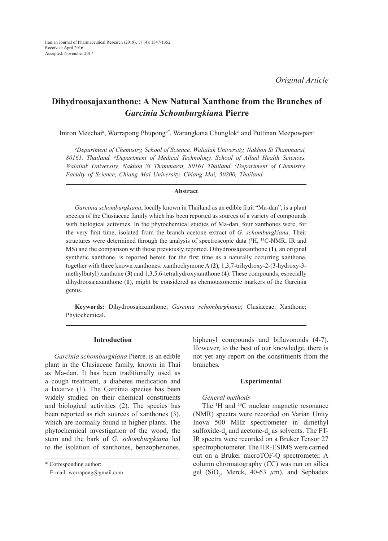# **Dihydroosajaxanthone: A New Natural Xanthone from the Branches of**  *Garcinia Schomburgkian***a Pierre**

Imron Meechai*<sup>a</sup>* , Worrapong Phupong*a\**, Warangkana Chunglok*<sup>b</sup>* and Puttinan Meepowpan*<sup>c</sup>*

*a Department of Chemistry, School of Science, Walailak University, Nakhon Si Thammarat, 80161, Thailand. b Department of Medical Technology, School of Allied Health Sciences,*  Walailak University, Nakhon Si Thammarat, 80161 Thailand. *Coepartment of Chemistry*, *Faculty of Science, Chiang Mai University, Chiang Mai, 50200, Thailand.*

#### **Abstract**

*Garcinia schomburgkiana*, locally known in Thailand as an edible fruit "Ma-dan", is a plant species of the Clusiaceae family which has been reported as sources of a variety of compounds with biological activities. In the phytochemical studies of Ma-dan, four xanthones were, for the very first time, isolated from the branch acetone extract of *G. schomburgkiana*. Their structures were determined through the analysis of spectroscopic data  $({}^1H, {}^{13}C\text{-}NMR, IR$  and MS) and the comparison with those previously reported. Dihydroosajaxanthone (**1**), an original synthetic xanthone, is reported herein for the first time as a naturally occurring xanthone, together with three known xanthones: xanthochymone A (**2**), 1,3,7-trihydroxy-2-(3-hydroxy-3 methylbutyl) xanthone (**3**) and 1,3,5,6-tetrahydroxyxanthone (**4**). These compounds, especially dihydroosajaxanthone (**1**), might be considered as chemotaxonomic markers of the Garcinia genus.

**Keywords:** Dihydroosajaxanthone; *Garcinia schomburgkiana*; Clusiaceae; Xanthone; Phytochemical.

## **Introduction**

*Garcinia schomburgkiana* Pierre. is an edible plant in the Clusiaceae family, known in Thai as Ma-dan. It has been traditionally used as a cough treatment, a diabetes medication and a laxative (1). The Garcinia species has been widely studied on their chemical constituents and biological activities (2). The species has been reported as rich sources of xanthones (3), which are normally found in higher plants. The phytochemical investigation of the wood, the stem and the bark of *G. schomburgkiana* led to the isolation of xanthones, benzophenones,

biphenyl compounds and biflavonoids (4-7). However, to the best of our knowledge, there is not yet any report on the constituents from the branches*.*

#### **Experimental**

### *General methods*

The <sup>1</sup>H and <sup>13</sup>C nuclear magnetic resonance (NMR) spectra were recorded on Varian Unity Inova 500 MHz spectrometer in dimethyl sulfoxide- $d_6$  and acetone- $d_6$  as solvents. The FT-IR spectra were recorded on a Bruker Tensor 27 spectrophotometer. The HR-ESIMS were carried out on a Bruker microTOF-Q spectrometer. A column chromatography (CC) was run on silica gel (SiO<sub>2</sub>, Merck, 40-63  $\mu$ m), and Sephadex

<sup>\*</sup> Corresponding author:

E-mail: worrapong@gmail.com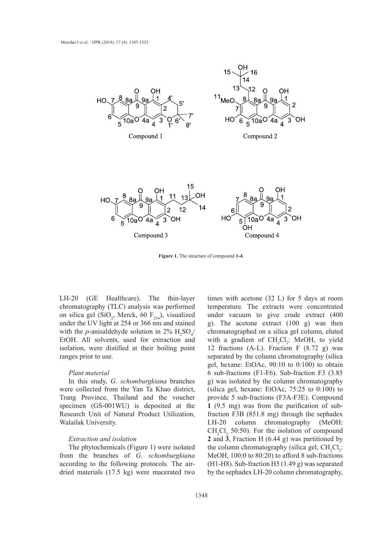



**Figure 1.** The structure of compound **1-4**.

LH-20 (GE Healthcare). The thin-layer chromatography (TLC) analysis was performed on silica gel (SiO<sub>2</sub>, Merck, 60  $F_{254}$ ), visualized under vacuu under the UV light at 254 or 366 nm and stained with the *p*-anisaldehyde solution in 2%  $H_2SO_4/$ EtOH. All solvents, used for extraction and isolation, were distilled at their boiling point ranges prior to use.

### *Plant material*  $1589$  (C+C, aromatic); C19H2O7, HR-ESIMS  $($

In this study, *G. schomburgkiana* branches m this study, O. *schomburgkland* blanches were collected from the Yan Ta Khao district, Trang Province, Thailand and the voucher specimen (GS-001WU) is deposited at the Research Unit of Natural Product Utilization, Walailak University.

# *Extraction and isolation*

The phytochemicals (Figure 1) were isolated from the branches of *G. schomburgkiana*  according to the following protocols*.* The airdried materials (17.5 kg) were macerated two

LH-20 (GE Healthcare). The thin-layer times with acetone (32 L) for 5 days at room temperature. The extracts were concentrated under vacuum to give crude extract  $(400)$ g). The acetone extract (100 g) was then chromatographed on a silica gel column, eluted with a gradient of  $CH_2Cl_2$ : MeOH, to yield isolation, were distilled at their boiling point 12 fractions (A-L). Fraction F (8.72 g) was separated by the column chromatography (silica gel, hexane: EtOAc,  $90:10$  to  $0:100$ ) to obtain 6 sub-fractions (F1-F6). Sub-fraction F3 (3.85 g) was isolated by the column chromatography (silica gel, hexane: EtOAc, 75:25 to 0:100) to provide 5 sub-fractions (F3A-F3E). Compound **1** (9.5 mg) was from the purification of subfraction F3B (851.8 mg) through the sephadex LH-20 column chromatography (MeOH:  $CH_2Cl_2$  50:50). For the isolation of compound **2** and **3**, Fraction H (6.44 g) was partitioned by the column chromatography (silica gel,  $CH_2Cl_2$ : MeOH, 100:0 to 80:20) to afford 8 sub-fractions  $(H1-H8)$ . Sub-fraction H5 (1.49 g) was separated by the sephadex LH-20 column chromatography,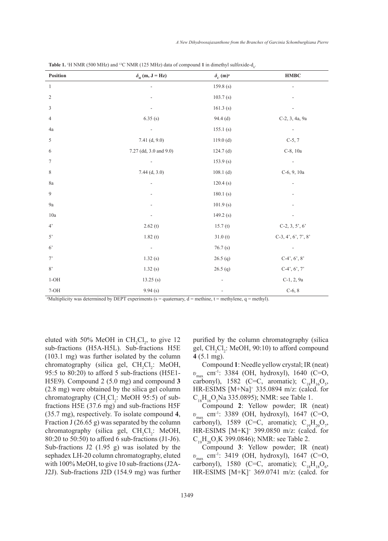| Position       | $\delta_{\rm H}$ (m, J = Hz) | $\delta_{\rm C}$ (m) <sup>a</sup> | <b>HMBC</b>              |
|----------------|------------------------------|-----------------------------------|--------------------------|
| $\mathbf{1}$   |                              | 159.8(s)                          |                          |
| $\sqrt{2}$     |                              | 103.7(s)                          |                          |
| 3              |                              | 161.3(s)                          |                          |
| $\overline{4}$ | 6.35(s)                      | $94.4$ (d)                        | C-2, 3, 4a, 9a           |
| 4a             |                              | 155.1(s)                          | $\overline{\phantom{a}}$ |
| $\sqrt{5}$     | 7.41 (d, 9.0)                | 119.0(d)                          | $C-5, 7$                 |
| 6              | 7.27 (dd, 3.0 and 9.0)       | $124.7$ (d)                       | C-8, 10a                 |
| $\tau$         |                              | 153.9(s)                          |                          |
| $\,$ 8 $\,$    | $7.44$ (d, 3.0)              | $108.1$ (d)                       | C-6, 9, 10a              |
| 8a             |                              | 120.4(s)                          |                          |
| $\overline{9}$ |                              | 180.1(s)                          |                          |
| $9\mathrm{a}$  |                              | 101.9(s)                          |                          |
| 10a            |                              | 149.2(s)                          |                          |
| 4'             | 2.62(t)                      | 15.7(t)                           | C-2, 3, 5', $6'$         |
| 5'             | 1.82(t)                      | 31.0(t)                           | $C-3, 4', 6', 7', 8'$    |
| 6 <sup>2</sup> | $\overline{\phantom{0}}$     | 76.7(s)                           |                          |
| $7^{\circ}$    | 1.32(s)                      | 26.5(q)                           | $C-4$ ', 6', 8'          |
| 8'             | 1.32(s)                      | 26.5(q)                           | $C-4$ ', 6', 7'          |
| $1\text{-OH}$  | 13.25(s)                     |                                   | C-1, 2, 9a               |
| $7-OH$         | 9.94(s)                      |                                   | $C-6, 8$                 |

**Table 1.** <sup>1</sup>H NMR (500 MHz) and <sup>13</sup>C NMR (125 MHz) data of compound **1** in dimethyl sulfoxide-d<sub>6</sub>.

 $M$ ultiplicity was determined by DEPT experiments (s = quaternary, d = methine, t = methylene, q = methyl).

eluted with 50% MeOH in  $CH_2Cl_2$ , to give 12 sub-fractions (H5A-H5L). Sub-fractions H5E (103.1 mg) was further isolated by the column chromatography (silica gel,  $CH_2Cl_2$ : MeOH, 95:5 to 80:20) to afford 5 sub-fractions (H5E1- H5E9). Compound 2 (5.0 mg) and compound **3** (2.8 mg) were obtained by the silica gel column chromatography  $\text{(CH}_2\text{Cl}_2$ : MeOH 95:5) of subfractions H5E (37.6 mg) and sub-fractions H5F (35.7 mg), respectively. To isolate compound **4**, Fraction  $J(26.65 g)$  was separated by the column chromatography (silica gel,  $CH_2Cl_2$ : MeOH, 80:20 to 50:50) to afford 6 sub-fractions (J1-J6). Sub-fractions J2 (1.95 g) was isolated by the sephadex LH-20 column chromatography, eluted with 100% MeOH, to give 10 sub-fractions (J2A-J2J). Sub-fractions J2D (154.9 mg) was further

purified by the column chromatography (silica gel,  $CH_2Cl_2$ : MeOH, 90:10) to afford compound **4** (5.1 mg).

Compound **1**: Needle yellow crystal; IR (neat) *υ*<sub>max</sub> cm<sup>-1</sup>: 3384 (OH, hydroxyl), 1640 (C=O, carbonyl), 1582 (C=C, aromatic);  $C_{18}H_{16}O_5$ , HR-ESIMS [M+Na]+ 335.0894 m/z: (calcd. for  $C_{18}H_{16}O_5$ Na 335.0895); NMR: see Table 1.

Compound **2**: Yellow powder; IR (neat) *υ*<sub>max</sub> cm<sup>-1</sup>: 3389 (OH, hydroxyl), 1647 (C=O, carbonyl), 1589 (C=C, aromatic);  $C_{19}H_{20}O_7$ , HR-ESIMS [M+K]+ 399.0850 m/z: (calcd. for  $C_{19}H_{20}O_7K$  399.0846); NMR: see Table 2.

Compound **3**: Yellow powder; IR (neat) *υ*<sub>max</sub> cm<sup>-1</sup>: 3419 (OH, hydroxyl), 1647 (C=O, carbonyl), 1580 (C=C, aromatic);  $C_{18}H_{18}O_6$ , HR-ESIMS [M+K]+ 369.0741 m/z: (calcd. for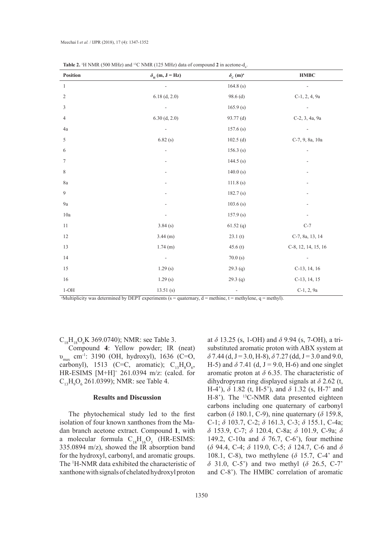| <b>Table 2.</b> <sup>1</sup> H NMR (500 MHz) and <sup>13</sup> C NMR (125 MHz) data of compound 2 in acetone- $d_c$ . |                              |                                   |                     |
|-----------------------------------------------------------------------------------------------------------------------|------------------------------|-----------------------------------|---------------------|
| Position                                                                                                              | $\delta_{\rm H}$ (m, J = Hz) | $\delta_{\rm C}$ (m) <sup>a</sup> | <b>HMBC</b>         |
| $\mathbf{1}$                                                                                                          |                              | 164.8(s)                          |                     |
| $\mathfrak{2}$                                                                                                        | $6.18$ (d, 2.0)              | $98.6$ (d)                        | C-1, 2, 4, 9a       |
| 3                                                                                                                     |                              | 165.9(s)                          | $\blacksquare$      |
| $\overline{4}$                                                                                                        | $6.30$ (d, 2.0)              | 93.77 <sub>(d)</sub>              | C-2, 3, 4a, 9a      |
| 4a                                                                                                                    |                              | 157.6(s)                          |                     |
| 5                                                                                                                     | 6.82(s)                      | $102.5$ (d)                       | C-7, 9, 8a, 10a     |
| 6                                                                                                                     |                              | 156.3(s)                          |                     |
| 7                                                                                                                     |                              | 144.5 $(s)$                       |                     |
| $\,$ 8 $\,$                                                                                                           |                              | 140.0(s)                          |                     |
| $8\mathrm{a}$                                                                                                         |                              | 111.8(s)                          |                     |
| 9                                                                                                                     |                              | 182.7(s)                          |                     |
| $9\mathrm{a}$                                                                                                         |                              | 103.6(s)                          |                     |
| 10a                                                                                                                   |                              | 157.9(s)                          |                     |
| 11                                                                                                                    | 3.84(s)                      | $61.52$ (q)                       | $C-7$               |
| $12\,$                                                                                                                | $3.44$ (m)                   | 23.1(t)                           | C-7, 8a, 13, 14     |
| 13                                                                                                                    | $1.74$ (m)                   | 45.6(t)                           | C-8, 12, 14, 15, 16 |
| 14                                                                                                                    | $\overline{\phantom{a}}$     | 70.0(s)                           | ۰                   |
| 15                                                                                                                    | 1.29(s)                      | 29.3(q)                           | C-13, 14, 16        |
| $16\,$                                                                                                                | 1.29(s)                      | 29.3(q)                           | C-13, 14, 15        |
| $1-OH$                                                                                                                | 13.51(s)                     | $\overline{\phantom{a}}$          | C-1, 2, 9a          |

**Table 2.** <sup>1</sup>H NMR (500 MHz) and <sup>13</sup>C NMR (125 MHz) data of compound 2 in acetone-d<sub>6</sub>

 $M$ ultiplicity was determined by DEPT experiments (s = quaternary, d = methine, t = methylene, q = methyl).

 $C_{18}H_{18}O_6K$  369.0740); NMR: see Table 3.

Compound **4**: Yellow powder; IR (neat) υmax cm-1: 3190 (OH, hydroxyl), 1636 (C=O, carbonyl), 1513 (C=C, aromatic);  $C_{13}H_8O_6$ , HR-ESIMS [M+H]+ 261.0394 m/z: (calcd. for  $C_{13}H_{9}O_{6}$  261.0399); NMR: see Table 4.

### **Results and Discussion**

The phytochemical study led to the first isolation of four known xanthones from the Madan branch acetone extract. Compound **1**, with a molecular formula  $C_{18}H_{16}O_5$  (HR-ESIMS: 335.0894 m/z), showed the IR absorption band for the hydroxyl, carbonyl, and aromatic groups. The 1 H-NMR data exhibited the characteristic of xanthone with signals of chelated hydroxyl proton

at *δ* 13.25 (s, 1-OH) and *δ* 9.94 (s, 7-OH), a trisubstituted aromatic proton with ABX system at  $\delta$  7.44 (d, J = 3.0, H-8),  $\delta$  7.27 (dd, J = 3.0 and 9.0, H-5) and  $\delta$  7.41 (d, J = 9.0, H-6) and one singlet aromatic proton at *δ* 6.35. The characteristic of dihydropyran ring displayed signals at *δ* 2.62 (t, H-4'), *δ* 1.82 (t, H-5'), and *δ* 1.32 (s, H-7' and H-8'). The <sup>13</sup>C-NMR data presented eighteen carbons including one quaternary of carbonyl carbon (*δ* 180.1, C-9), nine quaternary (*δ* 159.8, C-1; *δ* 103.7, C-2; *δ* 161.3, C-3; *δ* 155.1, C-4a; *δ* 153.9, C-7; *δ* 120.4, C-8a; *δ* 101.9, C-9a; *δ*  149.2, C-10a and *δ* 76.7, C-6'), four methine (*δ* 94.4, C-4; *δ* 119.0, C-5; *δ* 124.7, C-6 and *δ*  108.1, C-8), two methylene (*δ* 15.7, C-4' and *δ* 31.0, C-5') and two methyl (*δ* 26.5, C-7' and C-8'). The HMBC correlation of aromatic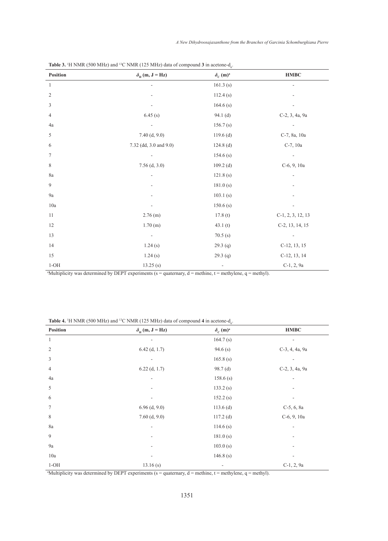| Position       | $\delta_{\rm H}$ (m, J = Hz) | $\delta_{\rm C}$ (m) <sup>a</sup> | <b>HMBC</b>              |
|----------------|------------------------------|-----------------------------------|--------------------------|
| $\mathbf{1}$   |                              | 161.3(s)                          |                          |
| $\overline{2}$ |                              | 112.4(s)                          |                          |
| 3              |                              | 164.6(s)                          |                          |
| $\overline{4}$ | 6.45(s)                      | 94.1(d)                           | C-2, 3, 4a, 9a           |
| 4a             | -                            | 156.7(s)                          |                          |
| $\sqrt{5}$     | 7.40 (d, 9.0)                | $119.6$ (d)                       | C-7, 8a, 10a             |
| 6              | 7.32 (dd, 3.0 and 9.0)       | $124.8$ (d)                       | C-7, 10a                 |
| 7              | $\overline{a}$               | 154.6(s)                          | $\overline{\phantom{a}}$ |
| $\,$ 8 $\,$    | $7.56$ (d, 3.0)              | $109.2$ (d)                       | C-6, 9, 10a              |
| 8a             |                              | 121.8(s)                          |                          |
| 9              |                              | 181.0(s)                          |                          |
| $9\mathrm{a}$  |                              | 103.1(s)                          |                          |
| 10a            |                              | 150.6(s)                          |                          |
| 11             | $2.76$ (m)                   | 17.8(t)                           | $C-1, 2, 3, 12, 13$      |
| 12             | 1.70(m)                      | 43.1(t)                           | C-2, 13, 14, 15          |
| 13             | $\overline{\phantom{m}}$     | 70.5(s)                           |                          |
| 14             | 1.24(s)                      | 29.3(q)                           | C-12, 13, 15             |
| 15             | 1.24(s)                      | 29.3(q)                           | C-12, 13, 14             |
| $1\text{-OH}$  | 13.25(s)                     | $\overline{a}$                    | C-1, 2, 9a               |

| <b>Table 3.</b> <sup>1</sup> H NMR (500 MHz) and <sup>13</sup> C NMR (125 MHz) data of compound 3 in acetone-d <sub>6</sub> |  |  |
|-----------------------------------------------------------------------------------------------------------------------------|--|--|
|-----------------------------------------------------------------------------------------------------------------------------|--|--|

a Multiplicity was determined by DEPT experiments (s = quaternary, d = methine, t = methylene, q = methyl).

| <b>Table 4.</b> <sup>1</sup> H NMR (500 MHz) and <sup>13</sup> C NMR (125 MHz) data of compound 4 in acetone- $d_6$ . |  |
|-----------------------------------------------------------------------------------------------------------------------|--|
|-----------------------------------------------------------------------------------------------------------------------|--|

| Position       | $\delta_{\rm H}$ (m, J = Hz) | $\delta_{\rm C}$ (m) <sup>a</sup> | <b>HMBC</b>    |
|----------------|------------------------------|-----------------------------------|----------------|
| 1              |                              | 164.7(s)                          |                |
| $\overline{2}$ | $6.42$ (d, 1.7)              | 94.6(s)                           | C-3, 4, 4a, 9a |
| 3              | $\overline{\phantom{a}}$     | 165.8(s)                          |                |
| $\overline{4}$ | $6.22$ (d, 1.7)              | 98.7(d)                           | C-2, 3, 4a, 9a |
| 4a             | ٠                            | 158.6(s)                          | -              |
| 5              |                              | 133.2(s)                          |                |
| 6              |                              | 152.2(s)                          |                |
| 7              | $6.96$ (d, 9.0)              | $113.6$ (d)                       | $C-5, 6, 8a$   |
| 8              | $7.60$ (d, 9.0)              | $117.2$ (d)                       | C-6, 9, 10a    |
| 8a             | ۰                            | 114.6(s)                          |                |
| 9              | ٠                            | 181.0(s)                          | -              |
| 9a             | $\overline{\phantom{a}}$     | 103.0(s)                          |                |
| 10a            | ۰                            | 146.8(s)                          | ۰              |
| $1-OH$         | 13.16(s)                     | -                                 | C-1, 2, 9a     |

 $M$ ultiplicity was determined by DEPT experiments (s = quaternary, d = methine, t = methylene, q = methyl).